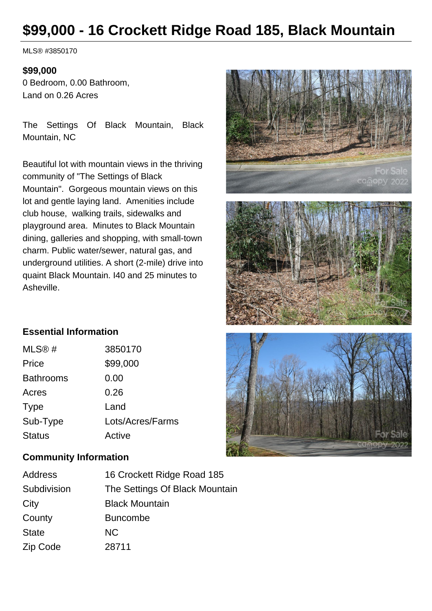# **\$99,000 - 16 Crockett Ridge Road 185, Black Mountain**

MLS® #3850170

#### **\$99,000**

0 Bedroom, 0.00 Bathroom, Land on 0.26 Acres

The Settings Of Black Mountain, Black Mountain, NC

Beautiful lot with mountain views in the thriving community of "The Settings of Black Mountain". Gorgeous mountain views on this lot and gentle laying land. Amenities include club house, walking trails, sidewalks and playground area. Minutes to Black Mountain dining, galleries and shopping, with small-town charm. Public water/sewer, natural gas, and underground utilities. A short (2-mile) drive into quaint Black Mountain. I40 and 25 minutes to Asheville.







| MLS@#            | 3850170          |
|------------------|------------------|
| Price            | \$99,000         |
| <b>Bathrooms</b> | 0.00             |
| Acres            | 0.26             |
| <b>Type</b>      | Land             |
| Sub-Type         | Lots/Acres/Farms |
| <b>Status</b>    | Active           |

#### **Community Information**

| Address      | 16 Crockett Ridge Road 185     |
|--------------|--------------------------------|
| Subdivision  | The Settings Of Black Mountain |
| City         | <b>Black Mountain</b>          |
| County       | <b>Buncombe</b>                |
| <b>State</b> | <b>NC</b>                      |
| Zip Code     | 28711                          |